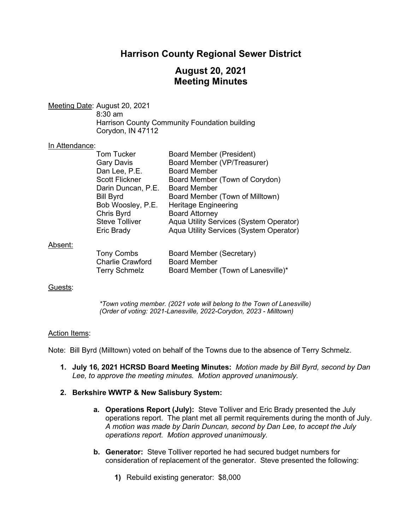## **Harrison County Regional Sewer District**

# **August 20, 2021 Meeting Minutes**

Meeting Date: August 20, 2021 8:30 am Harrison County Community Foundation building Corydon, IN 47112

#### In Attendance:

|         | <b>Tom Tucker</b>       | <b>Board Member (President)</b>         |
|---------|-------------------------|-----------------------------------------|
|         | <b>Gary Davis</b>       | Board Member (VP/Treasurer)             |
|         | Dan Lee, P.E.           | <b>Board Member</b>                     |
|         | <b>Scott Flickner</b>   | Board Member (Town of Corydon)          |
|         | Darin Duncan, P.E.      | <b>Board Member</b>                     |
|         | <b>Bill Byrd</b>        | Board Member (Town of Milltown)         |
|         | Bob Woosley, P.E.       | <b>Heritage Engineering</b>             |
|         | Chris Byrd              | <b>Board Attorney</b>                   |
|         | <b>Steve Tolliver</b>   | Aqua Utility Services (System Operator) |
|         | Eric Brady              | Aqua Utility Services (System Operator) |
| Absent: |                         |                                         |
|         | <b>Tony Combs</b>       | Board Member (Secretary)                |
|         | <b>Charlie Crawford</b> | <b>Board Member</b>                     |

Terry Schmelz Board Member (Town of Lanesville)\*

#### Guests:

*\*Town voting member. (2021 vote will belong to the Town of Lanesville) (Order of voting: 2021-Lanesville, 2022-Corydon, 2023 - Milltown)*

## Action Items:

Note: Bill Byrd (Milltown) voted on behalf of the Towns due to the absence of Terry Schmelz.

**1. July 16, 2021 HCRSD Board Meeting Minutes:** *Motion made by Bill Byrd, second by Dan Lee, to approve the meeting minutes. Motion approved unanimously.*

## **2. Berkshire WWTP & New Salisbury System:**

- **a. Operations Report (July):** Steve Tolliver and Eric Brady presented the July operations report. The plant met all permit requirements during the month of July. *A motion was made by Darin Duncan, second by Dan Lee, to accept the July operations report. Motion approved unanimously.*
- **b. Generator:** Steve Tolliver reported he had secured budget numbers for consideration of replacement of the generator. Steve presented the following:
	- **1)** Rebuild existing generator: \$8,000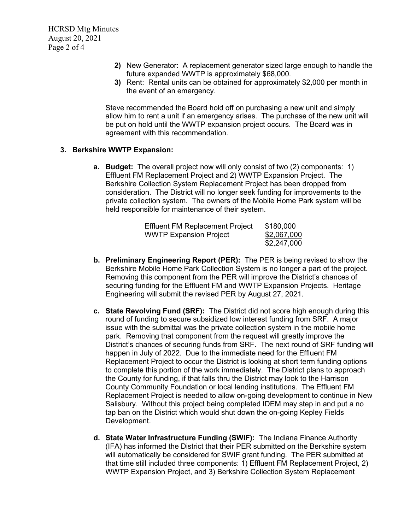- **2)** New Generator: A replacement generator sized large enough to handle the future expanded WWTP is approximately \$68,000.
- **3)** Rent: Rental units can be obtained for approximately \$2,000 per month in the event of an emergency.

Steve recommended the Board hold off on purchasing a new unit and simply allow him to rent a unit if an emergency arises. The purchase of the new unit will be put on hold until the WWTP expansion project occurs. The Board was in agreement with this recommendation.

## **3. Berkshire WWTP Expansion:**

**a. Budget:** The overall project now will only consist of two (2) components: 1) Effluent FM Replacement Project and 2) WWTP Expansion Project. The Berkshire Collection System Replacement Project has been dropped from consideration. The District will no longer seek funding for improvements to the private collection system. The owners of the Mobile Home Park system will be held responsible for maintenance of their system.

| <b>Effluent FM Replacement Project</b> | \$180,000   |
|----------------------------------------|-------------|
| <b>WWTP Expansion Project</b>          | \$2,067,000 |
|                                        | \$2,247,000 |

- **b. Preliminary Engineering Report (PER):** The PER is being revised to show the Berkshire Mobile Home Park Collection System is no longer a part of the project. Removing this component from the PER will improve the District's chances of securing funding for the Effluent FM and WWTP Expansion Projects. Heritage Engineering will submit the revised PER by August 27, 2021.
- **c. State Revolving Fund (SRF):** The District did not score high enough during this round of funding to secure subsidized low interest funding from SRF. A major issue with the submittal was the private collection system in the mobile home park. Removing that component from the request will greatly improve the District's chances of securing funds from SRF. The next round of SRF funding will happen in July of 2022. Due to the immediate need for the Effluent FM Replacement Project to occur the District is looking at short term funding options to complete this portion of the work immediately. The District plans to approach the County for funding, if that falls thru the District may look to the Harrison County Community Foundation or local lending institutions. The Effluent FM Replacement Project is needed to allow on-going development to continue in New Salisbury. Without this project being completed IDEM may step in and put a no tap ban on the District which would shut down the on-going Kepley Fields Development.
- **d. State Water Infrastructure Funding (SWIF):** The Indiana Finance Authority (IFA) has informed the District that their PER submitted on the Berkshire system will automatically be considered for SWIF grant funding. The PER submitted at that time still included three components: 1) Effluent FM Replacement Project, 2) WWTP Expansion Project, and 3) Berkshire Collection System Replacement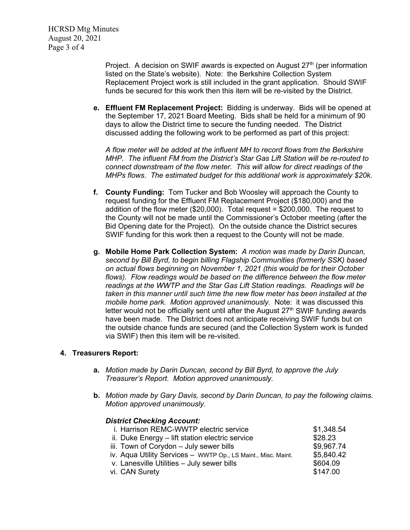HCRSD Mtg Minutes August 20, 2021 Page 3 of 4

> Project. A decision on SWIF awards is expected on August  $27<sup>th</sup>$  (per information listed on the State's website). Note: the Berkshire Collection System Replacement Project work is still included in the grant application. Should SWIF funds be secured for this work then this item will be re-visited by the District.

**e. Effluent FM Replacement Project:** Bidding is underway. Bids will be opened at the September 17, 2021 Board Meeting. Bids shall be held for a minimum of 90 days to allow the District time to secure the funding needed. The District discussed adding the following work to be performed as part of this project:

*A flow meter will be added at the influent MH to record flows from the Berkshire MHP. The influent FM from the District's Star Gas Lift Station will be re-routed to connect downstream of the flow meter. This will allow for direct readings of the MHPs flows*. *The estimated budget for this additional work is approximately \$20k.*

- **f. County Funding:** Tom Tucker and Bob Woosley will approach the County to request funding for the Effluent FM Replacement Project (\$180,000) and the addition of the flow meter (\$20,000). Total request = \$200,000. The request to the County will not be made until the Commissioner's October meeting (after the Bid Opening date for the Project). On the outside chance the District secures SWIF funding for this work then a request to the County will not be made.
- **g. Mobile Home Park Collection System:** *A motion was made by Darin Duncan, second by Bill Byrd, to begin billing Flagship Communities (formerly SSK) based on actual flows beginning on November 1, 2021 (this would be for their October flows). Flow readings would be based on the difference between the flow meter readings at the WWTP and the Star Gas Lift Station readings. Readings will be taken in this manner until such time the new flow meter has been installed at the mobile home park. Motion approved unanimously.* Note: it was discussed this letter would not be officially sent until after the August  $27<sup>th</sup>$  SWIF funding awards have been made. The District does not anticipate receiving SWIF funds but on the outside chance funds are secured (and the Collection System work is funded via SWIF) then this item will be re-visited.

## **4. Treasurers Report:**

- **a.** *Motion made by Darin Duncan, second by Bill Byrd, to approve the July Treasurer's Report. Motion approved unanimously.*
- **b.** *Motion made by Gary Davis, second by Darin Duncan, to pay the following claims. Motion approved unanimously.*

| <b>District Checking Account:</b>                             |            |
|---------------------------------------------------------------|------------|
| i. Harrison REMC-WWTP electric service                        | \$1,348.54 |
| ii. Duke Energy - lift station electric service               | \$28.23    |
| iii. Town of Corydon - July sewer bills                       | \$9,967.74 |
| iv. Aqua Utility Services - WWTP Op., LS Maint., Misc. Maint. | \$5,840.42 |
| v. Lanesville Utilities - July sewer bills                    | \$604.09   |
| vi. CAN Surety                                                | \$147.00   |
|                                                               |            |